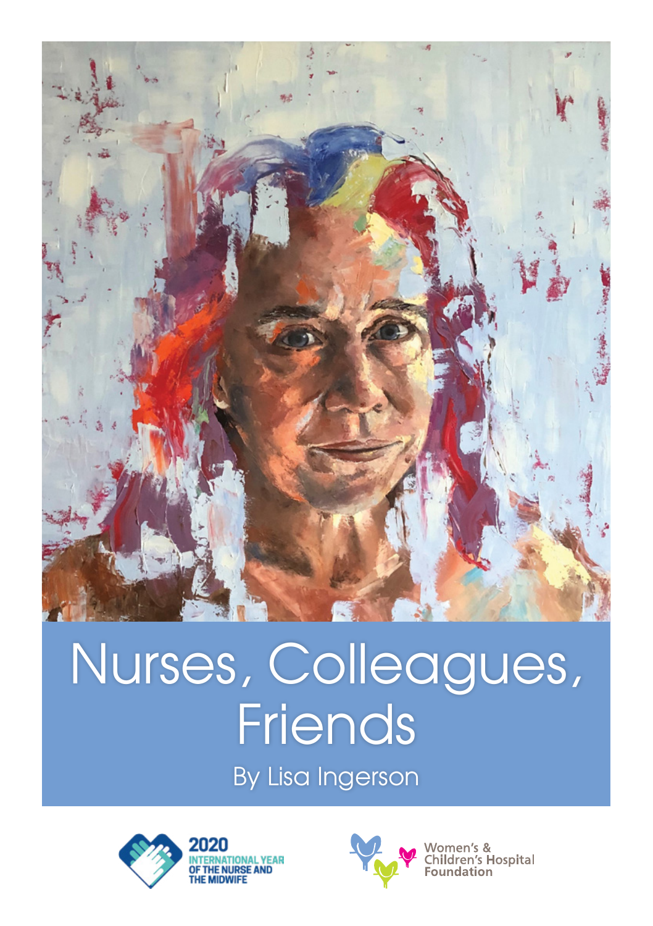

## Nurses, Colleagues, Friends

By Lisa Ingerson



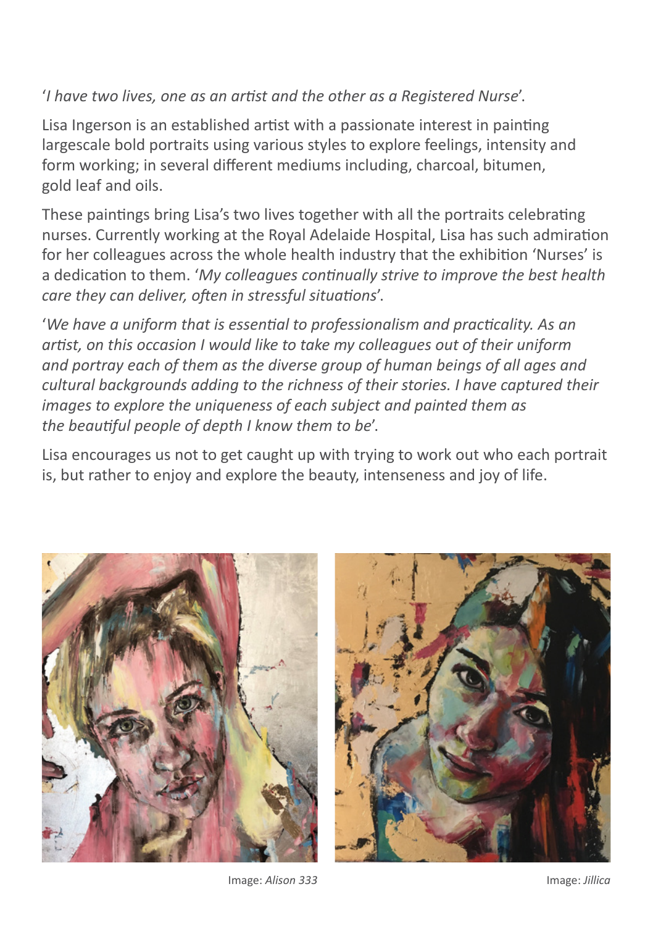## '*I have two lives, one as an artist and the other as a Registered Nurse*'.

Lisa Ingerson is an established artist with a passionate interest in painting largescale bold portraits using various styles to explore feelings, intensity and form working; in several different mediums including, charcoal, bitumen, gold leaf and oils.

These paintings bring Lisa's two lives together with all the portraits celebrating nurses. Currently working at the Royal Adelaide Hospital, Lisa has such admiration for her colleagues across the whole health industry that the exhibition 'Nurses' is a dedication to them. '*My colleagues continually strive to improve the best health care they can deliver, often in stressful situations*'.

'*We have a uniform that is essential to professionalism and practicality. As an artist, on this occasion I would like to take my colleagues out of their uniform and portray each of them as the diverse group of human beings of all ages and cultural backgrounds adding to the richness of their stories. I have captured their images to explore the uniqueness of each subject and painted them as the beautiful people of depth I know them to be*'.

Lisa encourages us not to get caught up with trying to work out who each portrait is, but rather to enjoy and explore the beauty, intenseness and joy of life.





Image: *Alison 333* Image: *Jillica*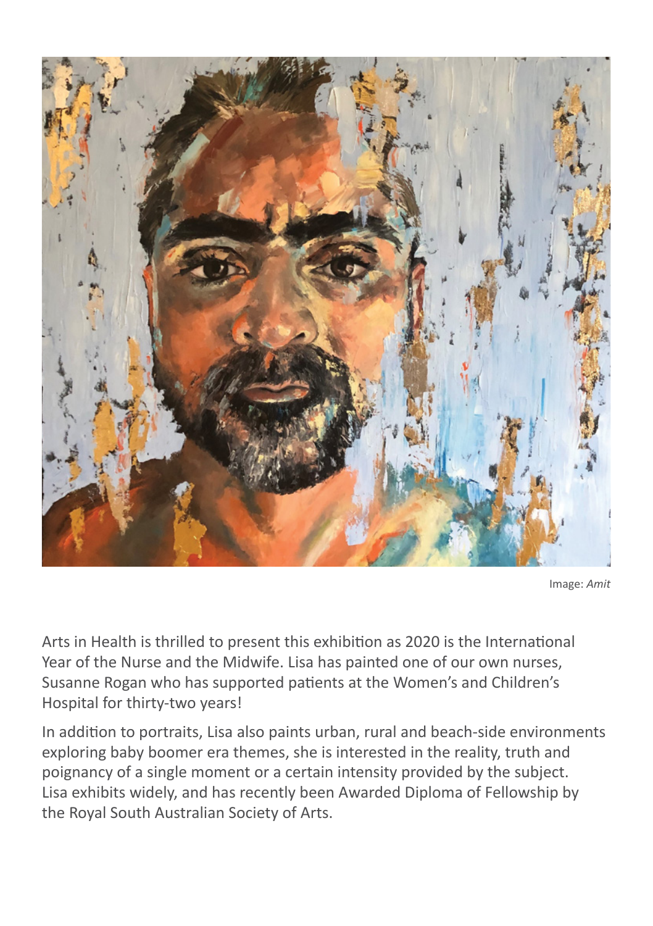

Image: *Amit*

Arts in Health is thrilled to present this exhibition as 2020 is the International Year of the Nurse and the Midwife. Lisa has painted one of our own nurses, Susanne Rogan who has supported patients at the Women's and Children's Hospital for thirty-two years!

In addition to portraits, Lisa also paints urban, rural and beach-side environments exploring baby boomer era themes, she is interested in the reality, truth and poignancy of a single moment or a certain intensity provided by the subject. Lisa exhibits widely, and has recently been Awarded Diploma of Fellowship by the Royal South Australian Society of Arts.